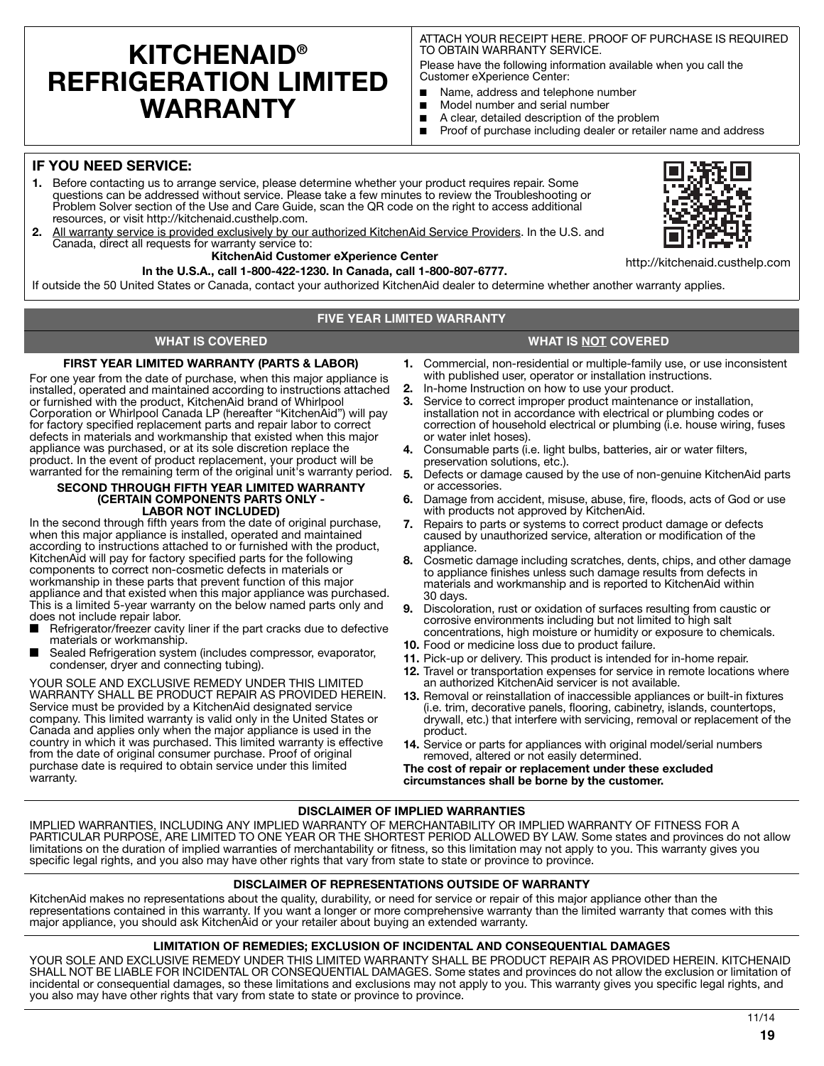# **KITCHENAID® REFRIGERATION LIMITED WARRANTY**

ATTACH YOUR RECEIPT HERE. PROOF OF PURCHASE IS REQUIRED TO OBTAIN WARRANTY SERVICE.

Please have the following information available when you call the Customer eXperience Center:

- Name, address and telephone number
- Model number and serial number
- A clear, detailed description of the problem
- Proof of purchase including dealer or retailer name and address

### **IF YOU NEED SERVICE:**

- **1.** Before contacting us to arrange service, please determine whether your product requires repair. Some questions can be addressed without service. Please take a few minutes to review the Troubleshooting or Problem Solver section of the Use and Care Guide, scan the QR code on the right to access additional resources, or visit http://kitchenaid.custhelp.com.
- **2.** All warranty service is provided exclusively by our authorized KitchenAid Service Providers. In the U.S. and Canada, direct all requests for warranty service to:

#### **KitchenAid Customer eXperience Center**

#### **In the U.S.A., call 1-800-422-1230. In Canada, call 1-800-807-6777.**

If outside the 50 United States or Canada, contact your authorized KitchenAid dealer to determine whether another warranty applies.

#### **FIVE YEAR LIMITED WARRANTY**

#### **WHAT IS COVERED WHAT IS NOT COVERED**

#### **FIRST YEAR LIMITED WARRANTY (PARTS & LABOR)**

For one year from the date of purchase, when this major appliance is installed, operated and maintained according to instructions attached or furnished with the product, KitchenAid brand of Whirlpool Corporation or Whirlpool Canada LP (hereafter "KitchenAid") will pay for factory specified replacement parts and repair labor to correct defects in materials and workmanship that existed when this major appliance was purchased, or at its sole discretion replace the product. In the event of product replacement, your product will be warranted for the remaining term of the original unit's warranty period.

#### **SECOND THROUGH FIFTH YEAR LIMITED WARRANTY (CERTAIN COMPONENTS PARTS ONLY - LABOR NOT INCLUDED)**

In the second through fifth years from the date of original purchase, when this major appliance is installed, operated and maintained according to instructions attached to or furnished with the product, KitchenAid will pay for factory specified parts for the following components to correct non-cosmetic defects in materials or workmanship in these parts that prevent function of this major appliance and that existed when this major appliance was purchased. This is a limited 5-year warranty on the below named parts only and does not include repair labor.

- Refrigerator/freezer cavity liner if the part cracks due to defective materials or workmanship.
- Sealed Refrigeration system (includes compressor, evaporator, condenser, dryer and connecting tubing).

YOUR SOLE AND EXCLUSIVE REMEDY UNDER THIS LIMITED WARRANTY SHALL BE PRODUCT REPAIR AS PROVIDED HEREIN. Service must be provided by a KitchenAid designated service company. This limited warranty is valid only in the United States or Canada and applies only when the major appliance is used in the country in which it was purchased. This limited warranty is effective from the date of original consumer purchase. Proof of original purchase date is required to obtain service under this limited warranty.

- **1.** Commercial, non-residential or multiple-family use, or use inconsistent with published user, operator or installation instructions.
- **2.** In-home Instruction on how to use your product.
- **3.** Service to correct improper product maintenance or installation, installation not in accordance with electrical or plumbing codes or correction of household electrical or plumbing (i.e. house wiring, fuses or water inlet hoses).
- **4.** Consumable parts (i.e. light bulbs, batteries, air or water filters, preservation solutions, etc.).
- **5.** Defects or damage caused by the use of non-genuine KitchenAid parts or accessories.
- **6.** Damage from accident, misuse, abuse, fire, floods, acts of God or use with products not approved by KitchenAid.
- **7.** Repairs to parts or systems to correct product damage or defects caused by unauthorized service, alteration or modification of the appliance.
- **8.** Cosmetic damage including scratches, dents, chips, and other damage to appliance finishes unless such damage results from defects in materials and workmanship and is reported to KitchenAid within 30 days.
- **9.** Discoloration, rust or oxidation of surfaces resulting from caustic or corrosive environments including but not limited to high salt concentrations, high moisture or humidity or exposure to chemicals.
- **10.** Food or medicine loss due to product failure.
- **11.** Pick-up or delivery. This product is intended for in-home repair.
- **12.** Travel or transportation expenses for service in remote locations where an authorized KitchenAid servicer is not available.
- **13.** Removal or reinstallation of inaccessible appliances or built-in fixtures (i.e. trim, decorative panels, flooring, cabinetry, islands, countertops, drywall, etc.) that interfere with servicing, removal or replacement of the product.
- **14.** Service or parts for appliances with original model/serial numbers removed, altered or not easily determined.

**The cost of repair or replacement under these excluded circumstances shall be borne by the customer.** 

#### **DISCLAIMER OF IMPLIED WARRANTIES**

IMPLIED WARRANTIES, INCLUDING ANY IMPLIED WARRANTY OF MERCHANTABILITY OR IMPLIED WARRANTY OF FITNESS FOR A PARTICULAR PURPOSE, ARE LIMITED TO ONE YEAR OR THE SHORTEST PERIOD ALLOWED BY LAW. Some states and provinces do not allow limitations on the duration of implied warranties of merchantability or fitness, so this limitation may not apply to you. This warranty gives you specific legal rights, and you also may have other rights that vary from state to state or province to province.

#### **DISCLAIMER OF REPRESENTATIONS OUTSIDE OF WARRANTY**

KitchenAid makes no representations about the quality, durability, or need for service or repair of this major appliance other than the representations contained in this warranty. If you want a longer or more comprehensive warranty than the limited warranty that comes with this major appliance, you should ask KitchenAid or your retailer about buying an extended warranty.

#### **LIMITATION OF REMEDIES; EXCLUSION OF INCIDENTAL AND CONSEQUENTIAL DAMAGES**

YOUR SOLE AND EXCLUSIVE REMEDY UNDER THIS LIMITED WARRANTY SHALL BE PRODUCT REPAIR AS PROVIDED HEREIN. KITCHENAID SHALL NOT BE LIABLE FOR INCIDENTAL OR CONSEQUENTIAL DAMAGES. Some states and provinces do not allow the exclusion or limitation of incidental or consequential damages, so these limitations and exclusions may not apply to you. This warranty gives you specific legal rights, and you also may have other rights that vary from state to state or province to province.



http://kitchenaid.custhelp.com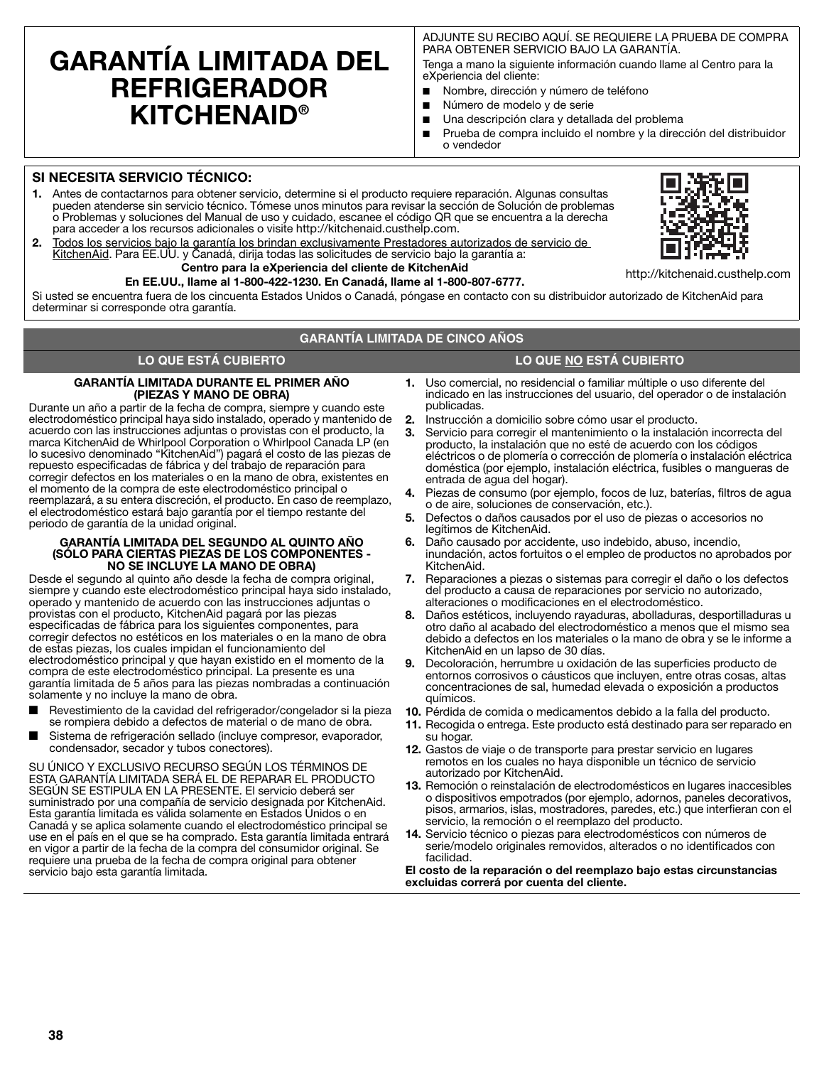# **GARANTÍA LIMITADA DEL REFRIGERADOR KITCHENAID®**

ADJUNTE SU RECIBO AQUÍ. SE REQUIERE LA PRUEBA DE COMPRA PARA OBTENER SERVICIO BAJO LA GARANTÍA.

Tenga a mano la siguiente información cuando llame al Centro para la eXperiencia del cliente:

- Nombre, dirección y número de teléfono
- Número de modelo y de serie
- Una descripción clara y detallada del problema
- Prueba de compra incluido el nombre y la dirección del distribuidor o vendedor

#### **SI NECESITA SERVICIO TÉCNICO:**

- **1.** Antes de contactarnos para obtener servicio, determine si el producto requiere reparación. Algunas consultas pueden atenderse sin servicio técnico. Tómese unos minutos para revisar la sección de Solución de problemas o Problemas y soluciones del Manual de uso y cuidado, escanee el código QR que se encuentra a la derecha para acceder a los recursos adicionales o visite http://kitchenaid.custhelp.com.
- **2.** Todos los servicios bajo la garantía los brindan exclusivamente Prestadores autorizados de servicio de KitchenAid. Para EE.UU. y Canadá, dirija todas las solicitudes de servicio bajo la garantía a: **Centro para la eXperiencia del cliente de KitchenAid**

#### **En EE.UU., llame al 1-800-422-1230. En Canadá, llame al 1-800-807-6777.**

Si usted se encuentra fuera de los cincuenta Estados Unidos o Canadá, póngase en contacto con su distribuidor autorizado de KitchenAid para determinar si corresponde otra garantía.

#### **GARANTÍA LIMITADA DE CINCO AÑOS**

#### **LO QUE ESTÁ CUBIERTO LO QUE NO ESTÁ CUBIERTO**

### **GARANTÍA LIMITADA DURANTE EL PRIMER AÑO**

**(PIEZAS Y MANO DE OBRA)** Durante un año a partir de la fecha de compra, siempre y cuando este electrodoméstico principal haya sido instalado, operado y mantenido de acuerdo con las instrucciones adjuntas o provistas con el producto, la marca KitchenAid de Whirlpool Corporation o Whirlpool Canada LP (en lo sucesivo denominado "KitchenAid") pagará el costo de las piezas de repuesto especificadas de fábrica y del trabajo de reparación para corregir defectos en los materiales o en la mano de obra, existentes en el momento de la compra de este electrodoméstico principal o reemplazará, a su entera discreción, el producto. En caso de reemplazo, el electrodoméstico estará bajo garantía por el tiempo restante del periodo de garantía de la unidad original.

#### **GARANTÍA LIMITADA DEL SEGUNDO AL QUINTO AÑO (SÓLO PARA CIERTAS PIEZAS DE LOS COMPONENTES - NO SE INCLUYE LA MANO DE OBRA)**

Desde el segundo al quinto año desde la fecha de compra original, siempre y cuando este electrodoméstico principal haya sido instalado, operado y mantenido de acuerdo con las instrucciones adjuntas o provistas con el producto, KitchenAid pagará por las piezas especificadas de fábrica para los siguientes componentes, para corregir defectos no estéticos en los materiales o en la mano de obra de estas piezas, los cuales impidan el funcionamiento del electrodoméstico principal y que hayan existido en el momento de la compra de este electrodoméstico principal. La presente es una garantía limitada de 5 años para las piezas nombradas a continuación solamente y no incluye la mano de obra.

- Revestimiento de la cavidad del refrigerador/congelador si la pieza se rompiera debido a defectos de material o de mano de obra.
- Sistema de refrigeración sellado (incluve compresor, evaporador, condensador, secador y tubos conectores).

SU ÚNICO Y EXCLUSIVO RECURSO SEGÚN LOS TÉRMINOS DE ESTA GARANTÍA LIMITADA SERÁ EL DE REPARAR EL PRODUCTO SEGÚN SE ESTIPULA EN LA PRESENTE. El servicio deberá ser suministrado por una compañía de servicio designada por KitchenAid. Esta garantía limitada es válida solamente en Estados Unidos o en Canadá y se aplica solamente cuando el electrodoméstico principal se use en el país en el que se ha comprado. Esta garantía limitada entrará en vigor a partir de la fecha de la compra del consumidor original. Se requiere una prueba de la fecha de compra original para obtener servicio bajo esta garantía limitada.

- **1.** Uso comercial, no residencial o familiar múltiple o uso diferente del indicado en las instrucciones del usuario, del operador o de instalación publicadas.
- **2.** Instrucción a domicilio sobre cómo usar el producto.
- **3.** Servicio para corregir el mantenimiento o la instalación incorrecta del producto, la instalación que no esté de acuerdo con los códigos eléctricos o de plomería o corrección de plomería o instalación eléctrica doméstica (por ejemplo, instalación eléctrica, fusibles o mangueras de entrada de agua del hogar).
- **4.** Piezas de consumo (por ejemplo, focos de luz, baterías, filtros de agua o de aire, soluciones de conservación, etc.).
- **5.** Defectos o daños causados por el uso de piezas o accesorios no legítimos de KitchenAid.
- **6.** Daño causado por accidente, uso indebido, abuso, incendio, inundación, actos fortuitos o el empleo de productos no aprobados por KitchenAid.
- **7.** Reparaciones a piezas o sistemas para corregir el daño o los defectos del producto a causa de reparaciones por servicio no autorizado, alteraciones o modificaciones en el electrodoméstico.
- **8.** Daños estéticos, incluyendo rayaduras, abolladuras, desportilladuras u otro daño al acabado del electrodoméstico a menos que el mismo sea debido a defectos en los materiales o la mano de obra y se le informe a KitchenAid en un lapso de 30 días.
- **9.** Decoloración, herrumbre u oxidación de las superficies producto de entornos corrosivos o cáusticos que incluyen, entre otras cosas, altas concentraciones de sal, humedad elevada o exposición a productos químicos.
- **10.** Pérdida de comida o medicamentos debido a la falla del producto.
- **11.** Recogida o entrega. Este producto está destinado para ser reparado en su hogar.
- **12.** Gastos de viaje o de transporte para prestar servicio en lugares remotos en los cuales no haya disponible un técnico de servicio autorizado por KitchenAid.
- **13.** Remoción o reinstalación de electrodomésticos en lugares inaccesibles o dispositivos empotrados (por ejemplo, adornos, paneles decorativos, pisos, armarios, islas, mostradores, paredes, etc.) que interfieran con el servicio, la remoción o el reemplazo del producto.
- **14.** Servicio técnico o piezas para electrodomésticos con números de serie/modelo originales removidos, alterados o no identificados con facilidad.

**El costo de la reparación o del reemplazo bajo estas circunstancias excluidas correrá por cuenta del cliente.** 



**38**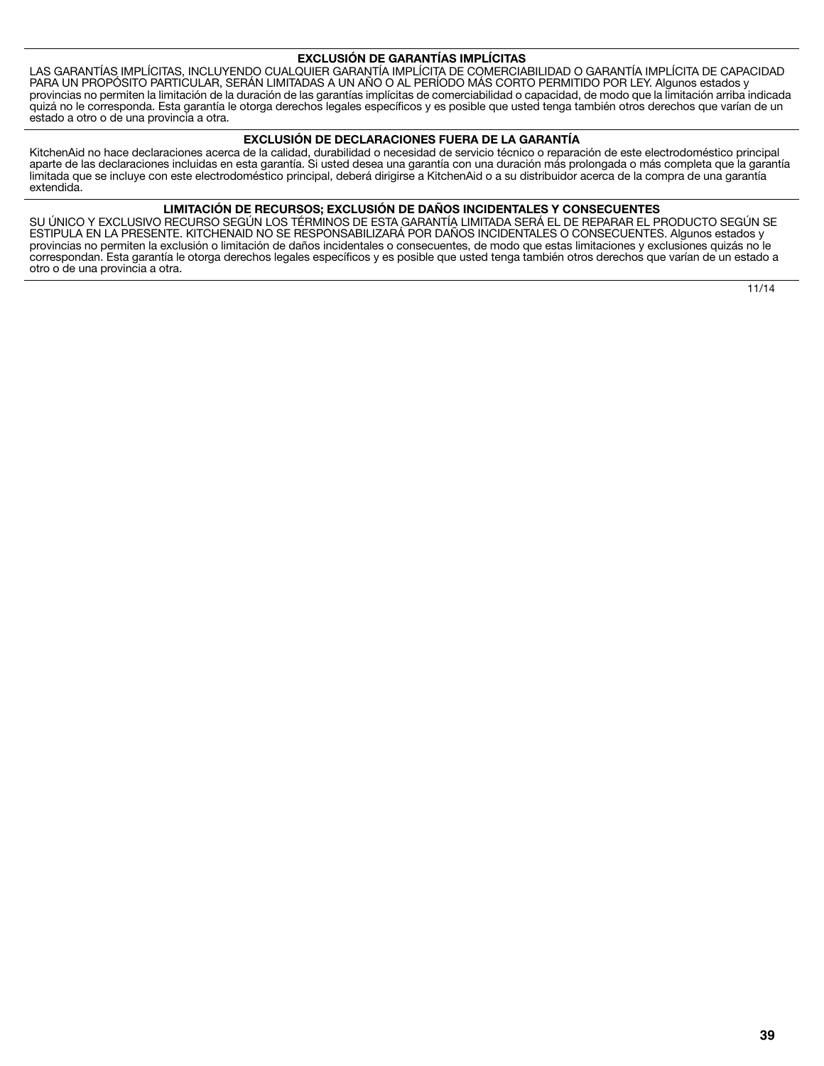#### **EXCLUSIÓN DE GARANTÍAS IMPLÍCITAS**

LAS GARANTÍAS IMPLÍCITAS, INCLUYENDO CUALQUIER GARANTÍA IMPLÍCITA DE COMERCIABILIDAD O GARANTÍA IMPLÍCITA DE CAPACIDAD PARA UN PROPÓSITO PARTICULAR, SERÁN LIMITADAS A UN AÑO O AL PERÍODO MÁS CORTO PERMITIDO POR LEY. Algunos estados y provincias no permiten la limitación de la duración de las garantías implícitas de comerciabilidad o capacidad, de modo que la limitación arriba indicada quizá no le corresponda. Esta garantía le otorga derechos legales específicos y es posible que usted tenga también otros derechos que varían de un estado a otro o de una provincia a otra.

#### **EXCLUSIÓN DE DECLARACIONES FUERA DE LA GARANTÍA**

KitchenAid no hace declaraciones acerca de la calidad, durabilidad o necesidad de servicio técnico o reparación de este electrodoméstico principal aparte de las declaraciones incluidas en esta garantía. Si usted desea una garantía con una duración más prolongada o más completa que la garantía limitada que se incluye con este electrodoméstico principal, deberá dirigirse a KitchenAid o a su distribuidor acerca de la compra de una garantía extendida.

#### **LIMITACIÓN DE RECURSOS; EXCLUSIÓN DE DAÑOS INCIDENTALES Y CONSECUENTES**

SU ÚNICO Y EXCLUSIVO RECURSO SEGÚN LOS TÉRMINOS DE ESTA GARANTÍA LIMITADA SERÁ EL DE REPARAR EL PRODUCTO SEGÚN SE ESTIPULA EN LA PRESENTE. KITCHENAID NO SE RESPONSABILIZARÁ POR DAÑOS INCIDENTALES O CONSECUENTES. Algunos estados y provincias no permiten la exclusión o limitación de daños incidentales o consecuentes, de modo que estas limitaciones y exclusiones quizás no le correspondan. Esta garantía le otorga derechos legales específicos y es posible que usted tenga también otros derechos que varían de un estado a otro o de una provincia a otra.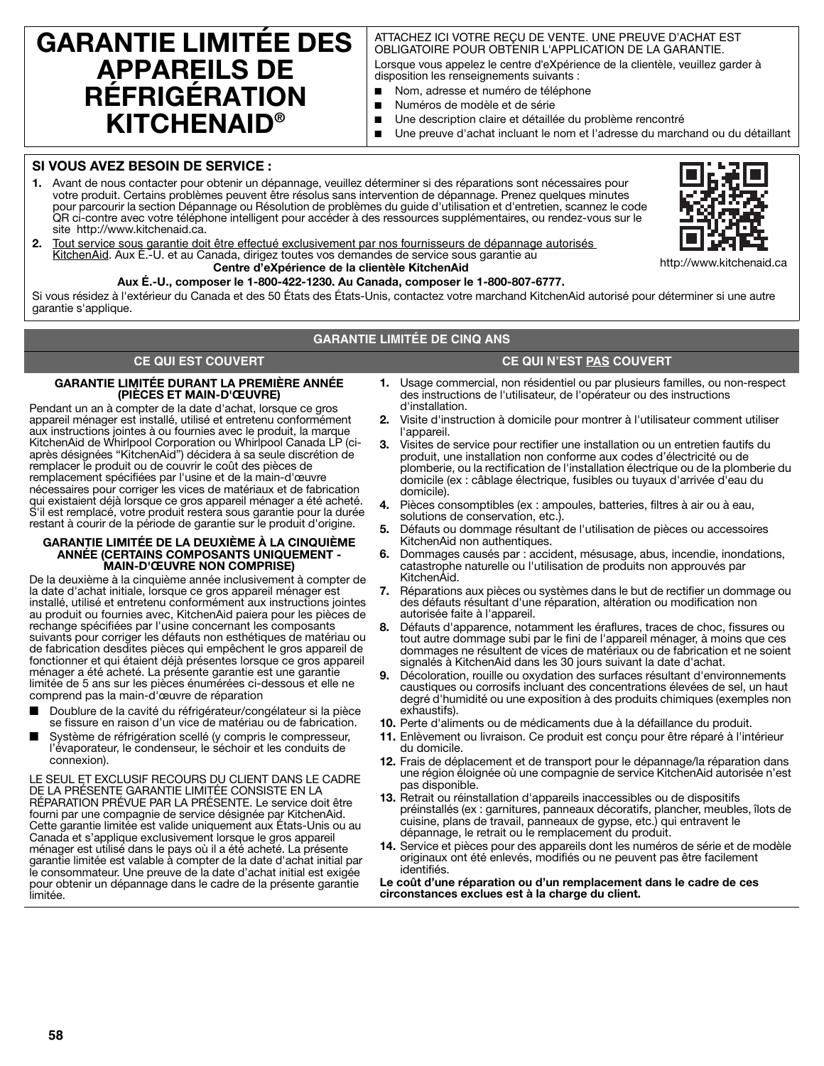## **GARANTIE LIMITÉE DES APPAREILS DE RÉFRIGÉRATION KITCHENAID®**

#### ATTACHEZ ICI VOTRE REÇU DE VENTE. UNE PREUVE D'ACHAT EST OBLIGATOIRE POUR OBTENIR L'APPLICATION DE LA GARANTIE.

Lorsque vous appelez le centre d'eXpérience de la clientèle, veuillez garder à disposition les renseignements suivants :

- Nom, adresse et numéro de téléphone
- Numéros de modèle et de série
- Une description claire et détaillée du problème rencontré
- Une preuve d'achat incluant le nom et l'adresse du marchand ou du détaillant

#### **SI VOUS AVEZ BESOIN DE SERVICE :**

**1.** Avant de nous contacter pour obtenir un dépannage, veuillez déterminer si des réparations sont nécessaires pour votre produit. Certains problèmes peuvent être résolus sans intervention de dépannage. Prenez quelques minutes pour parcourir la section Dépannage ou Résolution de problèmes du guide d'utilisation et d'entretien, scannez le code QR ci-contre avec votre téléphone intelligent pour accéder à des ressources supplémentaires, ou rendez-vous sur le site http://www.kitchenaid.ca.



**2.** Tout service sous garantie doit être effectué exclusivement par nos fournisseurs de dépannage autorisés KitchenAid. Aux É.-U. et au Canada, dirigez toutes vos demandes de service sous garantie au **Centre d'eXpérience de la clientèle KitchenAid**

### **Aux É.-U., composer le 1-800-422-1230. Au Canada, composer le 1-800-807-6777.**

Si vous résidez à l'extérieur du Canada et des 50 États des États-Unis, contactez votre marchand KitchenAid autorisé pour déterminer si une autre garantie s'applique.

#### **GARANTIE LIMITÉE DE CINQ ANS**

#### **CE QUI EST COUVERT CE QUI N'EST PAS COUVERT**

#### **GARANTIE LIMITÉE DURANT LA PREMIÈRE ANNÉE (PIÈCES ET MAIN-D'ŒUVRE)**

Pendant un an à compter de la date d'achat, lorsque ce gros appareil ménager est installé, utilisé et entretenu conformément aux instructions jointes à ou fournies avec le produit, la marque KitchenAid de Whirlpool Corporation ou Whirlpool Canada LP (ciaprès désignées "KitchenAid") décidera à sa seule discrétion de remplacer le produit ou de couvrir le coût des pièces de remplacement spécifiées par l'usine et de la main-d'œuvre nécessaires pour corriger les vices de matériaux et de fabrication qui existaient déjà lorsque ce gros appareil ménager a été acheté. S'il est remplacé, votre produit restera sous garantie pour la durée restant à courir de la période de garantie sur le produit d'origine.

#### **GARANTIE LIMITÉE DE LA DEUXIÈME À LA CINQUIÈME ANNÉE (CERTAINS COMPOSANTS UNIQUEMENT - MAIN-D'ŒUVRE NON COMPRISE)**

De la deuxième à la cinquième année inclusivement à compter de la date d'achat initiale, lorsque ce gros appareil ménager est installé, utilisé et entretenu conformément aux instructions jointes au produit ou fournies avec, KitchenAid paiera pour les pièces de rechange spécifiées par l'usine concernant les composants suivants pour corriger les défauts non esthétiques de matériau ou de fabrication desdites pièces qui empêchent le gros appareil de fonctionner et qui étaient déjà présentes lorsque ce gros appareil ménager a été acheté. La présente garantie est une garantie limitée de 5 ans sur les pièces énumérées ci-dessous et elle ne comprend pas la main-d'œuvre de réparation

- Doublure de la cavité du réfrigérateur/congélateur si la pièce se fissure en raison d'un vice de matériau ou de fabrication.
- Système de réfrigération scellé (y compris le compresseur, l'évaporateur, le condenseur, le séchoir et les conduits de connexion).

LE SEUL ET EXCLUSIF RECOURS DU CLIENT DANS LE CADRE DE LA PRÉSENTE GARANTIE LIMITÉE CONSISTE EN LA RÉPARATION PRÉVUE PAR LA PRÉSENTE. Le service doit être fourni par une compagnie de service désignée par KitchenAid. Cette garantie limitée est valide uniquement aux États-Unis ou au Canada et s'applique exclusivement lorsque le gros appareil ménager est utilisé dans le pays où il a été acheté. La présente garantie limitée est valable à compter de la date d'achat initial par le consommateur. Une preuve de la date d'achat initial est exigée pour obtenir un dépannage dans le cadre de la présente garantie limitée.

- **1.** Usage commercial, non résidentiel ou par plusieurs familles, ou non-respect des instructions de l'utilisateur, de l'opérateur ou des instructions d'installation.
- **2.** Visite d'instruction à domicile pour montrer à l'utilisateur comment utiliser l'appareil.
- **3.** Visites de service pour rectifier une installation ou un entretien fautifs du produit, une installation non conforme aux codes d'électricité ou de plomberie, ou la rectification de l'installation électrique ou de la plomberie du domicile (ex : câblage électrique, fusibles ou tuyaux d'arrivée d'eau du domicile).
- **4.** Pièces consomptibles (ex : ampoules, batteries, filtres à air ou à eau, solutions de conservation, etc.).
- **5.** Défauts ou dommage résultant de l'utilisation de pièces ou accessoires KitchenAid non authentiques.
- **6.** Dommages causés par : accident, mésusage, abus, incendie, inondations, catastrophe naturelle ou l'utilisation de produits non approuvés par KitchenAid.
- **7.** Réparations aux pièces ou systèmes dans le but de rectifier un dommage ou des défauts résultant d'une réparation, altération ou modification non autorisée faite à l'appareil.
- **8.** Défauts d'apparence, notamment les éraflures, traces de choc, fissures ou tout autre dommage subi par le fini de l'appareil ménager, à moins que ces dommages ne résultent de vices de matériaux ou de fabrication et ne soient signalés à KitchenAid dans les 30 jours suivant la date d'achat.
- **9.** Décoloration, rouille ou oxydation des surfaces résultant d'environnements caustiques ou corrosifs incluant des concentrations élevées de sel, un haut degré d'humidité ou une exposition à des produits chimiques (exemples non exhaustifs).
- **10.** Perte d'aliments ou de médicaments due à la défaillance du produit.
- **11.** Enlèvement ou livraison. Ce produit est conçu pour être réparé à l'intérieur du domicile.
- **12.** Frais de déplacement et de transport pour le dépannage/la réparation dans une région éloignée où une compagnie de service KitchenAid autorisée n'est pas disponible.
- **13.** Retrait ou réinstallation d'appareils inaccessibles ou de dispositifs préinstallés (ex : garnitures, panneaux décoratifs, plancher, meubles, îlots de cuisine, plans de travail, panneaux de gypse, etc.) qui entravent le dépannage, le retrait ou le remplacement du produit.
- **14.** Service et pièces pour des appareils dont les numéros de série et de modèle originaux ont été enlevés, modifiés ou ne peuvent pas être facilement identifiés.

**Le coût d'une réparation ou d'un remplacement dans le cadre de ces circonstances exclues est à la charge du client.**